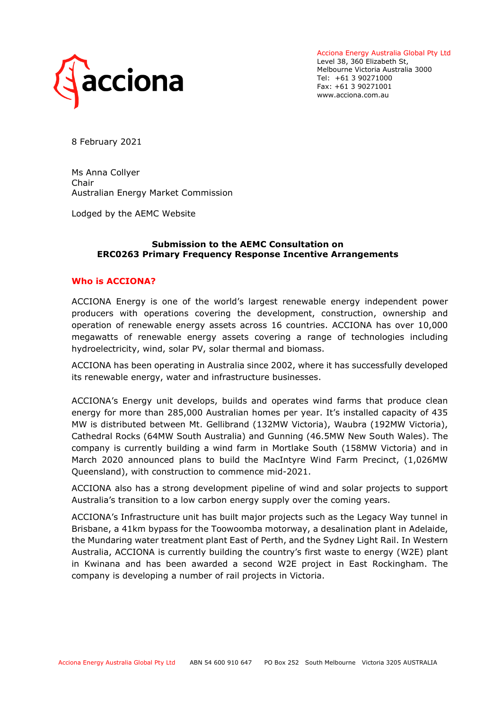

Acciona Energy Australia Global Pty Ltd Level 38, 360 Elizabeth St, Melbourne Victoria Australia 3000 Tel: +61 3 90271000 Fax: +61 3 90271001 www.acciona.com.au

8 February 2021

Ms Anna Collyer Chair Australian Energy Market Commission

Lodged by the AEMC Website

#### **Submission to the AEMC Consultation on ERC0263 Primary Frequency Response Incentive Arrangements**

#### **Who is ACCIONA?**

ACCIONA Energy is one of the world's largest renewable energy independent power producers with operations covering the development, construction, ownership and operation of renewable energy assets across 16 countries. ACCIONA has over 10,000 megawatts of renewable energy assets covering a range of technologies including hydroelectricity, wind, solar PV, solar thermal and biomass.

ACCIONA has been operating in Australia since 2002, where it has successfully developed its renewable energy, water and infrastructure businesses.

ACCIONA's Energy unit develops, builds and operates wind farms that produce clean energy for more than 285,000 Australian homes per year. It's installed capacity of 435 MW is distributed between Mt. Gellibrand (132MW Victoria), Waubra (192MW Victoria), Cathedral Rocks (64MW South Australia) and Gunning (46.5MW New South Wales). The company is currently building a wind farm in Mortlake South (158MW Victoria) and in March 2020 announced plans to build the MacIntyre Wind Farm Precinct, (1,026MW Queensland), with construction to commence mid-2021.

ACCIONA also has a strong development pipeline of wind and solar projects to support Australia's transition to a low carbon energy supply over the coming years.

ACCIONA's Infrastructure unit has built major projects such as the Legacy Way tunnel in Brisbane, a 41km bypass for the Toowoomba motorway, a desalination plant in Adelaide, the Mundaring water treatment plant East of Perth, and the Sydney Light Rail. In Western Australia, ACCIONA is currently building the country's first waste to energy (W2E) plant in Kwinana and has been awarded a second W2E project in East Rockingham. The company is developing a number of rail projects in Victoria.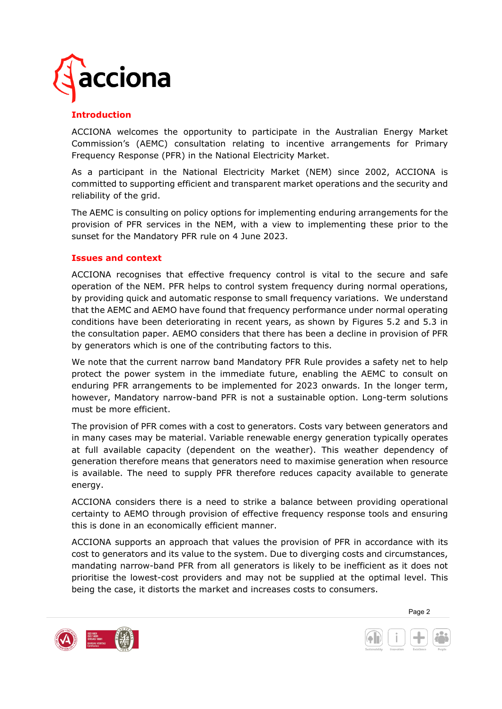

# **Introduction**

ACCIONA welcomes the opportunity to participate in the Australian Energy Market Commission's (AEMC) consultation relating to incentive arrangements for Primary Frequency Response (PFR) in the National Electricity Market.

As a participant in the National Electricity Market (NEM) since 2002, ACCIONA is committed to supporting efficient and transparent market operations and the security and reliability of the grid.

The AEMC is consulting on policy options for implementing enduring arrangements for the provision of PFR services in the NEM, with a view to implementing these prior to the sunset for the Mandatory PFR rule on 4 June 2023.

### **Issues and context**

ACCIONA recognises that effective frequency control is vital to the secure and safe operation of the NEM. PFR helps to control system frequency during normal operations, by providing quick and automatic response to small frequency variations. We understand that the AEMC and AEMO have found that frequency performance under normal operating conditions have been deteriorating in recent years, as shown by Figures 5.2 and 5.3 in the consultation paper. AEMO considers that there has been a decline in provision of PFR by generators which is one of the contributing factors to this.

We note that the current narrow band Mandatory PFR Rule provides a safety net to help protect the power system in the immediate future, enabling the AEMC to consult on enduring PFR arrangements to be implemented for 2023 onwards. In the longer term, however, Mandatory narrow-band PFR is not a sustainable option. Long-term solutions must be more efficient.

The provision of PFR comes with a cost to generators. Costs vary between generators and in many cases may be material. Variable renewable energy generation typically operates at full available capacity (dependent on the weather). This weather dependency of generation therefore means that generators need to maximise generation when resource is available. The need to supply PFR therefore reduces capacity available to generate energy.

ACCIONA considers there is a need to strike a balance between providing operational certainty to AEMO through provision of effective frequency response tools and ensuring this is done in an economically efficient manner.

ACCIONA supports an approach that values the provision of PFR in accordance with its cost to generators and its value to the system. Due to diverging costs and circumstances, mandating narrow-band PFR from all generators is likely to be inefficient as it does not prioritise the lowest-cost providers and may not be supplied at the optimal level. This being the case, it distorts the market and increases costs to consumers.